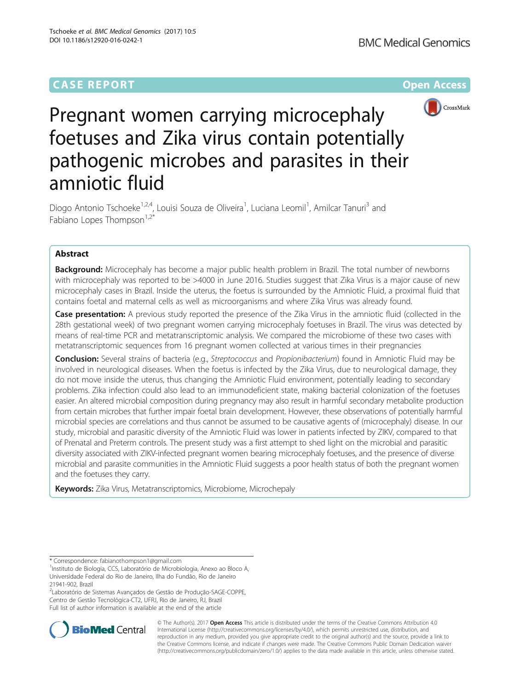## **CASE REPORT CASE REPORT CASE ACCESS**



# Pregnant women carrying microcephaly foetuses and Zika virus contain potentially pathogenic microbes and parasites in their amniotic fluid

Diogo Antonio Tschoeke<sup>1,2,4</sup>, Louisi Souza de Oliveira<sup>1</sup>, Luciana Leomil<sup>1</sup>, Amilcar Tanuri<sup>3</sup> and Fabiano Lopes Thompson $1,2^*$ 

## Abstract

**Background:** Microcephaly has become a major public health problem in Brazil. The total number of newborns with microcephaly was reported to be >4000 in June 2016. Studies suggest that Zika Virus is a major cause of new microcephaly cases in Brazil. Inside the uterus, the foetus is surrounded by the Amniotic Fluid, a proximal fluid that contains foetal and maternal cells as well as microorganisms and where Zika Virus was already found.

Case presentation: A previous study reported the presence of the Zika Virus in the amniotic fluid (collected in the 28th gestational week) of two pregnant women carrying microcephaly foetuses in Brazil. The virus was detected by means of real-time PCR and metatranscriptomic analysis. We compared the microbiome of these two cases with metatranscriptomic sequences from 16 pregnant women collected at various times in their pregnancies

Conclusion: Several strains of bacteria (e.g., Streptococcus and Propionibacterium) found in Amniotic Fluid may be involved in neurological diseases. When the foetus is infected by the Zika Virus, due to neurological damage, they do not move inside the uterus, thus changing the Amniotic Fluid environment, potentially leading to secondary problems. Zika infection could also lead to an immunodeficient state, making bacterial colonization of the foetuses easier. An altered microbial composition during pregnancy may also result in harmful secondary metabolite production from certain microbes that further impair foetal brain development. However, these observations of potentially harmful microbial species are correlations and thus cannot be assumed to be causative agents of (microcephaly) disease. In our study, microbial and parasitic diversity of the Amniotic Fluid was lower in patients infected by ZIKV, compared to that of Prenatal and Preterm controls. The present study was a first attempt to shed light on the microbial and parasitic diversity associated with ZIKV-infected pregnant women bearing microcephaly foetuses, and the presence of diverse microbial and parasite communities in the Amniotic Fluid suggests a poor health status of both the pregnant women and the foetuses they carry.

Keywords: Zika Virus, Metatranscriptomics, Microbiome, Microchepaly

2 Laboratório de Sistemas Avançados de Gestão de Produção-SAGE-COPPE, Centro de Gestão Tecnológica-CT2, UFRJ, Rio de Janeiro, RJ, Brazil Full list of author information is available at the end of the article



© The Author(s). 2017 **Open Access** This article is distributed under the terms of the Creative Commons Attribution 4.0 International License [\(http://creativecommons.org/licenses/by/4.0/](http://creativecommons.org/licenses/by/4.0/)), which permits unrestricted use, distribution, and reproduction in any medium, provided you give appropriate credit to the original author(s) and the source, provide a link to the Creative Commons license, and indicate if changes were made. The Creative Commons Public Domain Dedication waiver [\(http://creativecommons.org/publicdomain/zero/1.0/](http://creativecommons.org/publicdomain/zero/1.0/)) applies to the data made available in this article, unless otherwise stated.

<sup>\*</sup> Correspondence: [fabianothompson1@gmail.com](mailto:fabianothompson1@gmail.com) <sup>1</sup>

<sup>&</sup>lt;sup>1</sup>Instituto de Biologia, CCS, Laboratório de Microbiologia, Anexo ao Bloco A, Universidade Federal do Rio de Janeiro, Ilha do Fundão, Rio de Janeiro 21941-902, Brazil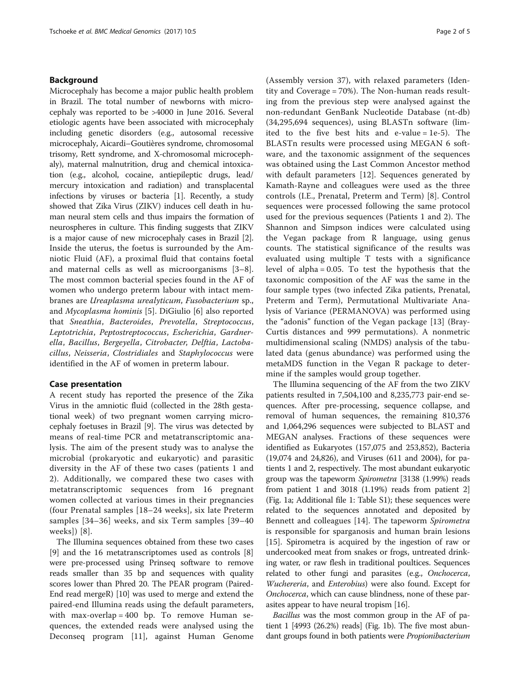## Background

Microcephaly has become a major public health problem in Brazil. The total number of newborns with microcephaly was reported to be >4000 in June 2016. Several etiologic agents have been associated with microcephaly including genetic disorders (e.g., autosomal recessive microcephaly, Aicardi–Goutières syndrome, chromosomal trisomy, Rett syndrome, and X-chromosomal microcephaly), maternal malnutrition, drug and chemical intoxication (e.g., alcohol, cocaine, antiepileptic drugs, lead/ mercury intoxication and radiation) and transplacental infections by viruses or bacteria [\[1](#page-4-0)]. Recently, a study showed that Zika Virus (ZIKV) induces cell death in human neural stem cells and thus impairs the formation of neurospheres in culture. This finding suggests that ZIKV is a major cause of new microcephaly cases in Brazil [[2](#page-4-0)]. Inside the uterus, the foetus is surrounded by the Amniotic Fluid (AF), a proximal fluid that contains foetal and maternal cells as well as microorganisms [\[3](#page-4-0)–[8](#page-4-0)]. The most common bacterial species found in the AF of women who undergo preterm labour with intact membranes are Ureaplasma urealyticum, Fusobacterium sp., and Mycoplasma hominis [\[5](#page-4-0)]. DiGiulio [[6\]](#page-4-0) also reported that Sneathia, Bacteroides, Prevotella, Streptococcus, Leptotrichia, Peptostreptococcus, Escherichia, Gardnerella, Bacillus, Bergeyella, Citrobacter, Delftia, Lactobacillus, Neisseria, Clostridiales and Staphylococcus were identified in the AF of women in preterm labour.

#### Case presentation

A recent study has reported the presence of the Zika Virus in the amniotic fluid (collected in the 28th gestational week) of two pregnant women carrying microcephaly foetuses in Brazil [\[9](#page-4-0)]. The virus was detected by means of real-time PCR and metatranscriptomic analysis. The aim of the present study was to analyse the microbial (prokaryotic and eukaryotic) and parasitic diversity in the AF of these two cases (patients 1 and 2). Additionally, we compared these two cases with metatranscriptomic sequences from 16 pregnant women collected at various times in their pregnancies (four Prenatal samples [18–24 weeks], six late Preterm samples [34–36] weeks, and six Term samples [39–40 weeks]) [[8](#page-4-0)].

The Illumina sequences obtained from these two cases [[9\]](#page-4-0) and the 16 metatranscriptomes used as controls [\[8](#page-4-0)] were pre-processed using Prinseq software to remove reads smaller than 35 bp and sequences with quality scores lower than Phred 20. The PEAR program (Paired-End read mergeR) [\[10\]](#page-4-0) was used to merge and extend the paired-end Illumina reads using the default parameters, with max-overlap = 400 bp. To remove Human sequences, the extended reads were analysed using the Deconseq program [[11\]](#page-4-0), against Human Genome

(Assembly version 37), with relaxed parameters (Identity and Coverage = 70%). The Non-human reads resulting from the previous step were analysed against the non-redundant GenBank Nucleotide Database (nt-db) (34,295,694 sequences), using BLASTn software (limited to the five best hits and e-value = 1e-5). The BLASTn results were processed using MEGAN 6 software, and the taxonomic assignment of the sequences was obtained using the Last Common Ancestor method with default parameters [\[12](#page-4-0)]. Sequences generated by Kamath-Rayne and colleagues were used as the three controls (I.E., Prenatal, Preterm and Term) [[8\]](#page-4-0). Control sequences were processed following the same protocol used for the previous sequences (Patients 1 and 2). The Shannon and Simpson indices were calculated using the Vegan package from R language, using genus counts. The statistical significance of the results was evaluated using multiple T tests with a significance level of alpha = 0.05. To test the hypothesis that the taxonomic composition of the AF was the same in the four sample types (two infected Zika patients, Prenatal, Preterm and Term), Permutational Multivariate Analysis of Variance (PERMANOVA) was performed using the "adonis" function of the Vegan package [\[13](#page-4-0)] (Bray-Curtis distances and 999 permutations). A nonmetric multidimensional scaling (NMDS) analysis of the tabulated data (genus abundance) was performed using the metaMDS function in the Vegan R package to determine if the samples would group together.

The Illumina sequencing of the AF from the two ZIKV patients resulted in 7,504,100 and 8,235,773 pair-end sequences. After pre-processing, sequence collapse, and removal of human sequences, the remaining 810,376 and 1,064,296 sequences were subjected to BLAST and MEGAN analyses. Fractions of these sequences were identified as Eukaryotes (157,075 and 253,852), Bacteria (19,074 and 24,826), and Viruses (611 and 2004), for patients 1 and 2, respectively. The most abundant eukaryotic group was the tapeworm Spirometra [3138 (1.99%) reads from patient 1 and 3018 (1.19%) reads from patient 2] (Fig. [1a](#page-2-0); Additional file [1:](#page-3-0) Table S1); these sequences were related to the sequences annotated and deposited by Bennett and colleagues [[14\]](#page-4-0). The tapeworm Spirometra is responsible for sparganosis and human brain lesions [[15\]](#page-4-0). Spirometra is acquired by the ingestion of raw or undercooked meat from snakes or frogs, untreated drinking water, or raw flesh in traditional poultices. Sequences related to other fungi and parasites (e.g., Onchocerca, Wuchereria, and Enterobius) were also found. Except for Onchocerca, which can cause blindness, none of these parasites appear to have neural tropism [[16](#page-4-0)].

Bacillus was the most common group in the AF of patient 1 [4993 (26.2%) reads] (Fig. [1b](#page-2-0)). The five most abundant groups found in both patients were Propionibacterium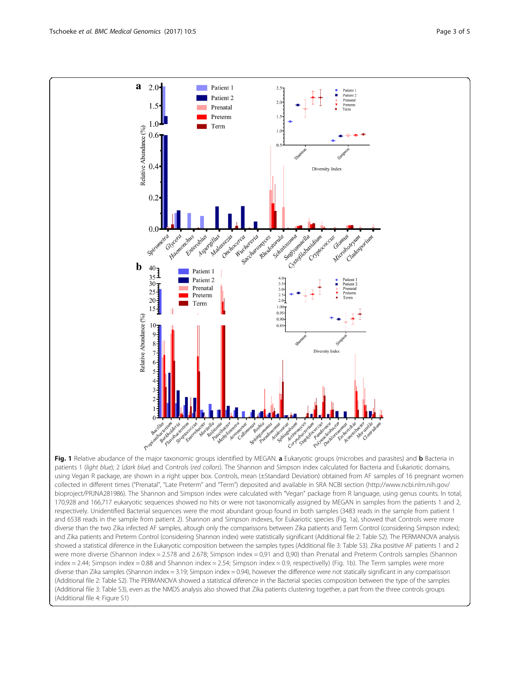<span id="page-2-0"></span>

patients 1 (light blue); 2 (dark blue) and Controls (red collors). The Shannon and Simpson index calculated for Bacteria and Eukariotic domains, using Vegan R package, are shown in a right upper box. Controls, mean (±Standard Deviation) obtained from AF samples of 16 pregnant women collected in different times ("Prenatal", "Late Preterm" and "Term") deposited and available in SRA NCBI section ([http://www.ncbi.nlm.nih.gov/](http://www.ncbi.nlm.nih.gov/bioproject/PRJNA281986) [bioproject/PRJNA281986](http://www.ncbi.nlm.nih.gov/bioproject/PRJNA281986)). The Shannon and Simpson index were calculated with "Vegan" package from R language, using genus counts. In total, 170,928 and 166,717 eukaryotic sequences showed no hits or were not taxonomically assigned by MEGAN in samples from the patients 1 and 2, respectively. Unidentified Bacterial sequences were the most abundant group found in both samples (3483 reads in the sample from patient 1 and 6538 reads in the sample from patient 2). Shannon and Simpson indexes, for Eukariotic species (Fig. 1a), showed that Controls were more diverse than the two Zika infected AF samples, altough only the comparissons between Zika patients and Term Control (considering Simpson index); and Zika patients and Preterm Control (considering Shannon index) were statistically significant (Additional file [2:](#page-3-0) Table S2). The PERMANOVA analysis showed a statistical diference in the Eukaryotic composition between the samples types (Additional file [3](#page-3-0): Table S3). Zika positive AF patients 1 and 2 were more diverse (Shannon index = 2.578 and 2.678; Simpson index = 0,91 and 0,90) than Prenatal and Preterm Controls samples (Shannon index = 2.44; Simpson index = 0.88 and Shannon index = 2.54; Simpson index = 0.9, respectivelly) (Fig. 1b). The Term samples were more diverse than Zika samples (Shannon index = 3.19; Simpson index = 0.94), however the difference were not statically significant in any comparisson (Additional file [2](#page-3-0): Table S2). The PERMANOVA showed a statistical diference in the Bacterial species composition between the type of the samples (Additional file [3](#page-3-0): Table S3), even as the NMDS analysis also showed that Zika patients clustering together, a part from the three controls groups (Additional file [4](#page-3-0): Figure S1)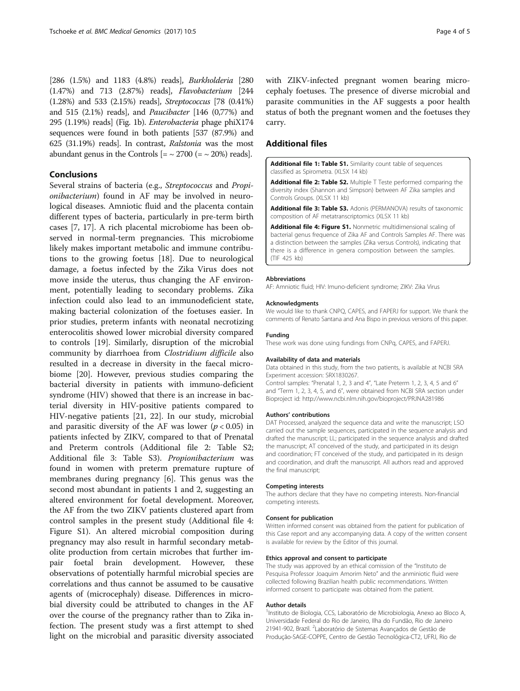<span id="page-3-0"></span>[286 (1.5%) and 1183 (4.8%) reads], Burkholderia [280 (1.47%) and 713 (2.87%) reads], Flavobacterium [244 (1.28%) and 533 (2.15%) reads], Streptococcus [78 (0.41%) and 515 (2.1%) reads], and Paucibacter [146 (0,77%) and 295 (1.19%) reads] (Fig. [1b](#page-2-0)). Enterobacteria phage phiX174 sequences were found in both patients [537 (87.9%) and 625 (31.19%) reads]. In contrast, Ralstonia was the most abundant genus in the Controls  $[=\sim 2700 \; (\approx 20\%)$  reads].

## Conclusions

Several strains of bacteria (e.g., Streptococcus and Propionibacterium) found in AF may be involved in neurological diseases. Amniotic fluid and the placenta contain different types of bacteria, particularly in pre-term birth cases [\[7](#page-4-0), [17\]](#page-4-0). A rich placental microbiome has been observed in normal-term pregnancies. This microbiome likely makes important metabolic and immune contributions to the growing foetus [[18](#page-4-0)]. Due to neurological damage, a foetus infected by the Zika Virus does not move inside the uterus, thus changing the AF environment, potentially leading to secondary problems. Zika infection could also lead to an immunodeficient state, making bacterial colonization of the foetuses easier. In prior studies, preterm infants with neonatal necrotizing enterocolitis showed lower microbial diversity compared to controls [\[19](#page-4-0)]. Similarly, disruption of the microbial community by diarrhoea from Clostridium difficile also resulted in a decrease in diversity in the faecal microbiome [[20\]](#page-4-0). However, previous studies comparing the bacterial diversity in patients with immuno-deficient syndrome (HIV) showed that there is an increase in bacterial diversity in HIV-positive patients compared to HIV-negative patients [[21](#page-4-0), [22\]](#page-4-0). In our study, microbial and parasitic diversity of the AF was lower ( $p < 0.05$ ) in patients infected by ZIKV, compared to that of Prenatal and Preterm controls (Additional file 2: Table S2; Additional file 3: Table S3). Propionibacterium was found in women with preterm premature rupture of membranes during pregnancy [[6\]](#page-4-0). This genus was the second most abundant in patients 1 and 2, suggesting an altered environment for foetal development. Moreover, the AF from the two ZIKV patients clustered apart from control samples in the present study (Additional file 4: Figure S1). An altered microbial composition during pregnancy may also result in harmful secondary metabolite production from certain microbes that further impair foetal brain development. However, these observations of potentially harmful microbial species are correlations and thus cannot be assumed to be causative agents of (microcephaly) disease. Differences in microbial diversity could be attributed to changes in the AF over the course of the pregnancy rather than to Zika infection. The present study was a first attempt to shed light on the microbial and parasitic diversity associated

with ZIKV-infected pregnant women bearing microcephaly foetuses. The presence of diverse microbial and parasite communities in the AF suggests a poor health status of both the pregnant women and the foetuses they carry.

## Additional files

[Additional file 1: Table S1.](dx.doi.org/10.1186/s12920-016-0242-1) Similarity count table of sequences classified as Spirometra. (XLSX 14 kb)

[Additional file 2: Table S2.](dx.doi.org/10.1186/s12920-016-0242-1) Multiple T Teste performed comparing the diversity index (Shannon and Simpson) between AF Zika samples and Controls Groups. (XLSX 11 kb)

[Additional file 3: Table S3.](dx.doi.org/10.1186/s12920-016-0242-1) Adonis (PERMANOVA) results of taxonomic composition of AF metatranscriptomics (XLSX 11 kb)

[Additional file 4: Figure S1.](dx.doi.org/10.1186/s12920-016-0242-1) Nonmetric multidimensional scaling of bacterial genus frequence of Zika AF and Controls Samples AF. There was a distinction between the samples (Zika versus Controls), indicating that there is a difference in genera composition between the samples. (TIF 425 kb)

#### Abbreviations

AF: Amniotic fluid; HIV: Imuno-deficient syndrome; ZIKV: Zika Virus

#### Acknowledgments

We would like to thank CNPQ, CAPES, and FAPERJ for support. We thank the comments of Renato Santana and Ana Bispo in previous versions of this paper.

#### Funding

These work was done using fundings from CNPq, CAPES, and FAPERJ.

#### Availability of data and materials

Data obtained in this study, from the two patients, is available at NCBI SRA Experiment accession: SRX1830267.

Control samples: "Prenatal 1, 2, 3 and 4", "Late Preterm 1, 2, 3, 4, 5 and 6" and "Term 1, 2, 3, 4, 5, and 6", were obtained from NCBI SRA section under Bioproject id:<http://www.ncbi.nlm.nih.gov/bioproject/PRJNA281986>

#### Authors' contributions

DAT Processed, analyzed the sequence data and write the manuscript; LSO carried out the sample sequences, participated in the sequence analysis and drafted the manuscript; LL; participated in the sequence analysis and drafted the manuscript; AT conceived of the study, and participated in its design and coordination; FT conceived of the study, and participated in its design and coordination, and draft the manuscript. All authors read and approved the final manuscript;

#### Competing interests

The authors declare that they have no competing interests. Non-financial competing interests.

#### Consent for publication

Written informed consent was obtained from the patient for publication of this Case report and any accompanying data. A copy of the written consent is available for review by the Editor of this journal.

#### Ethics approval and consent to participate

The study was approved by an ethical comission of the "Instituto de Pesquisa Professor Joaquim Amorim Neto" and the anminiotic fluid were collected following Brazilian health public recommendations. Written informed consent to participate was obtained from the patient.

#### Author details

<sup>1</sup>Instituto de Biologia, CCS, Laboratório de Microbiologia, Anexo ao Bloco A Universidade Federal do Rio de Janeiro, Ilha do Fundão, Rio de Janeiro 21941-902, Brazil. <sup>2</sup> Laboratório de Sistemas Avançados de Gestão de Produção-SAGE-COPPE, Centro de Gestão Tecnológica-CT2, UFRJ, Rio de